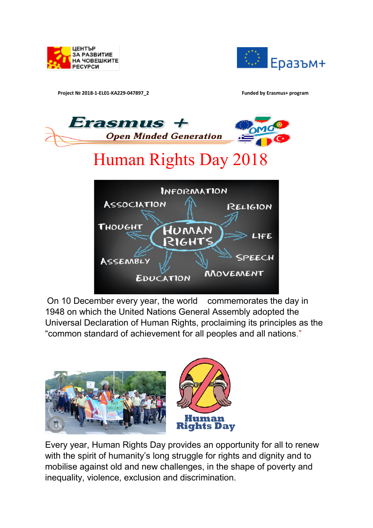



**Project № 2018-1-EL01-KA229-047897\_2 Funded by Erasmus+ program**



On 10 December every year, the world commemorates the day in 1948 on which the United Nations General Assembly adopted the Universal Declaration of Human Rights, proclaiming its principles as the "common standard of achievement for all peoples and all nations."



Every year, Human Rights Day provides an opportunity for all to renew with the spirit of humanity's long struggle for rights and dignity and to mobilise against old and new challenges, in the shape of poverty and inequality, violence, exclusion and discrimination.